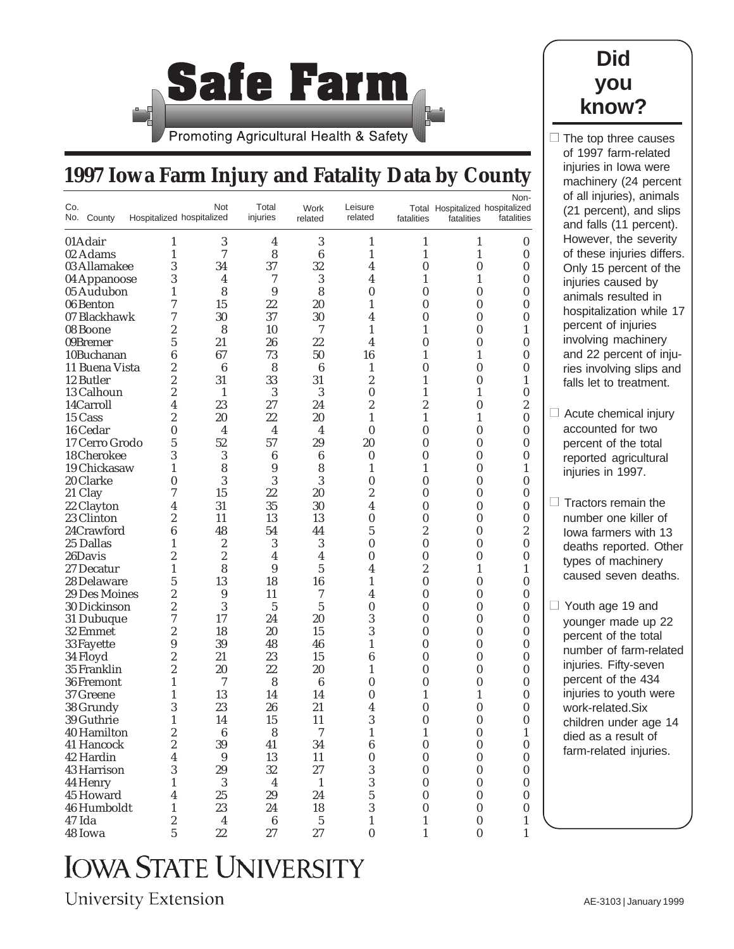

## **1997 Iowa Farm Injury and Fatality Data by County**

| Total Hospitalized hospitalized<br>Hospitalized hospitalized<br>No. County<br>injuries<br>related<br>fatalities<br>related<br>fatalities<br>fatalities<br>3<br>3<br>01 Adair<br>4<br>1<br>1<br>1<br>0<br>1<br>7<br>8<br>02 Adams<br>$\boldsymbol{6}$<br>1<br>1<br>1<br>1<br>0<br>03 Allamakee<br>3<br>32<br>$\bf{0}$<br>34<br>37<br>4<br>$\boldsymbol{0}$<br>0<br>3<br>3<br>$\overline{4}$<br>7<br>4<br>1<br>1<br>04 Appanoose<br>0<br>05 Audubon<br>8<br>9<br>8<br>0<br>0<br>0<br>1<br>0<br>06 Benton<br>7<br>15<br>22<br>20<br>0<br>0<br>1<br>0<br>30<br>30<br>07 Blackhawk<br>7<br>37<br>4<br>$\boldsymbol{0}$<br>$\boldsymbol{0}$<br>0<br>08 Boone<br>2<br>8<br>10<br>7<br>1<br>0<br>1<br>1<br>22<br>09Bremer<br>5<br>21<br>26<br>4<br>0<br>0<br>0<br>67<br>73<br>50<br>16<br>1<br>10Buchanan<br>6<br>1<br>0<br>11 Buena Vista<br>2<br>6<br>8<br>6<br>$\boldsymbol{0}$<br>$\boldsymbol{0}$<br>1<br>0<br>2<br>31<br>33<br>2<br>12 Butler<br>31<br>1<br>0<br>1<br>13 Calhoun<br>2<br>$\mathbf{1}$<br>3<br>3<br>0<br>1<br>1<br>0<br>23<br>2<br>2<br>$\boldsymbol{2}$<br>14Carroll<br>27<br>24<br>0<br>4<br>15 Cass<br>2<br>20<br>22<br>20<br>1<br>1<br>1<br>$\boldsymbol{0}$<br>16 Cedar<br>$\bf{0}$<br>$\overline{4}$<br>$\overline{4}$<br>$\overline{4}$<br>$\bf{0}$<br>0<br>$\boldsymbol{0}$<br>0<br>52<br>57<br>29<br>17 Cerro Grodo<br>5<br>20<br>0<br>0<br>0<br>18 Cherokee<br>3<br>3<br>0<br>0<br>6<br>6<br>0<br>0<br>8<br>19 Chickasaw<br>9<br>8<br>$\boldsymbol{0}$<br>1<br>1<br>1<br>1<br>3<br>3<br>3<br>20 Clarke<br>$\boldsymbol{0}$<br>0<br>0<br>$\boldsymbol{0}$<br>0<br>21 Clay<br>15<br>2<br>7<br>22<br>20<br>0<br>0<br>0<br>31<br>35<br>30<br>4<br>$\bf{0}$<br>0<br>22 Clayton<br>4<br>0<br>23 Clinton<br>2<br>11<br>13<br>13<br>$\boldsymbol{0}$<br>$\boldsymbol{0}$<br>$\boldsymbol{0}$<br>$\boldsymbol{0}$<br>5<br>2<br>$\boldsymbol{2}$<br>24Crawford<br>6<br>48<br>54<br>44<br>0<br>25 Dallas<br>2<br>3<br>3<br>0<br>0<br>0<br>0<br>1<br>2<br>26Davis<br>2<br>$\bf{0}$<br>0<br>0<br>4<br>4<br>0<br>8<br>2<br>27 Decatur<br>9<br>5<br>4<br>1<br>1<br>1<br>5<br>13<br>18<br>16<br>1<br>0<br>$\boldsymbol{0}$<br>$\boldsymbol{0}$<br>28 Delaware<br>29 Des Moines<br>2<br>9<br>11<br>7<br>4<br>0<br>0<br>0<br>3<br>5<br>2<br>5<br>0<br>$\bf{0}$<br>0<br>30 Dickinson<br>0<br>3<br>31 Dubuque<br>7<br>17<br>24<br>20<br>$\boldsymbol{0}$<br>$\boldsymbol{0}$<br>0<br>3<br>32 Emmet<br>2<br>18<br>20<br>15<br>0<br>0<br>0<br>39<br>9<br>48<br>46<br>1<br>0<br>0<br>33 Fayette<br>0<br>2<br>21<br>23<br>15<br>6<br>0<br>0<br>34 Floyd<br>0<br>35 Franklin<br>2<br>22<br>20<br>20<br>$\boldsymbol{0}$<br>$\boldsymbol{0}$<br>1<br>0<br>1<br>7<br>8<br>6<br>0<br>0<br>0<br>36 Fremont<br>0<br>13<br>37 Greene<br>1<br>14<br>14<br>0<br>1<br>1<br>0<br>38 Grundy<br>3<br>23<br>26<br>21<br>0<br>4<br>0<br>0<br>3<br>39 Guthrie<br>14<br>15<br>11<br>$\boldsymbol{0}$<br>0<br>0<br>1<br>$\boldsymbol{2}$<br>$\boldsymbol{6}$<br>$\bf 8$<br>40 Hamilton<br>7<br>1<br>1<br>0<br>$\mathbf{1}$<br>$\boldsymbol{2}$<br>39<br>41 Hancock<br>41<br>34<br>$\bf 6$<br>$\boldsymbol{0}$<br>$\boldsymbol{0}$<br>$\pmb{0}$<br>4<br>$\boldsymbol{9}$<br>$\bf{0}$<br>$\bf{0}$<br>$\pmb{0}$<br>42 Hardin<br>13<br>11<br>$\boldsymbol{0}$<br>$32\,$<br>$27\,$<br>$\overline{3}$<br>43 Harrison<br>3<br>29<br>$\pmb{0}$<br>$\boldsymbol{0}$<br>$\pmb{0}$<br>3<br>$\sqrt{3}$<br>$\overline{4}$<br>$\mathbf 1$<br>$\pmb{0}$<br>44 Henry<br>1<br>$\boldsymbol{0}$<br>0<br>$25\,$<br>$\mathbf 5$<br>$\rm 29$<br>24<br>$\pmb{0}$<br>$\pmb{0}$<br>45 Howard<br>4<br>$\pmb{0}$<br>3<br>23<br>$24\,$<br>$\pmb{0}$<br>46 Humboldt<br>1<br>18<br>$\pmb{0}$<br>$\boldsymbol{0}$<br>$\sqrt{2}$<br>$\bf 6$<br>$\bf 5$<br>47 Ida<br>$\overline{\mathbf{4}}$<br>$\mathbf{1}$<br>$\mathbf{1}$<br>$\pmb{0}$<br>$\mathbf{1}$<br>$\overline{5}$<br>22<br>27<br>$27\,$<br>$\pmb{0}$<br>$\mathbf{1}$<br>$\pmb{0}$<br>$\mathbf{1}$<br>48 Iowa |     |     |       |      |         |  | Non- |
|---------------------------------------------------------------------------------------------------------------------------------------------------------------------------------------------------------------------------------------------------------------------------------------------------------------------------------------------------------------------------------------------------------------------------------------------------------------------------------------------------------------------------------------------------------------------------------------------------------------------------------------------------------------------------------------------------------------------------------------------------------------------------------------------------------------------------------------------------------------------------------------------------------------------------------------------------------------------------------------------------------------------------------------------------------------------------------------------------------------------------------------------------------------------------------------------------------------------------------------------------------------------------------------------------------------------------------------------------------------------------------------------------------------------------------------------------------------------------------------------------------------------------------------------------------------------------------------------------------------------------------------------------------------------------------------------------------------------------------------------------------------------------------------------------------------------------------------------------------------------------------------------------------------------------------------------------------------------------------------------------------------------------------------------------------------------------------------------------------------------------------------------------------------------------------------------------------------------------------------------------------------------------------------------------------------------------------------------------------------------------------------------------------------------------------------------------------------------------------------------------------------------------------------------------------------------------------------------------------------------------------------------------------------------------------------------------------------------------------------------------------------------------------------------------------------------------------------------------------------------------------------------------------------------------------------------------------------------------------------------------------------------------------------------------------------------------------------------------------------------------------------------------------------------------------------------------------------------------------------------------------------------------------------------------------------------------------------------------------------------------------------------------------------------------------------------------------------------------------------------------------------------------------------------------------------------------------------------------------------------------------------------------------------------------------------------------------------------------------------------------------------------------------------------------------------------------------------------------------------------------------------------------------------------|-----|-----|-------|------|---------|--|------|
|                                                                                                                                                                                                                                                                                                                                                                                                                                                                                                                                                                                                                                                                                                                                                                                                                                                                                                                                                                                                                                                                                                                                                                                                                                                                                                                                                                                                                                                                                                                                                                                                                                                                                                                                                                                                                                                                                                                                                                                                                                                                                                                                                                                                                                                                                                                                                                                                                                                                                                                                                                                                                                                                                                                                                                                                                                                                                                                                                                                                                                                                                                                                                                                                                                                                                                                                                                                                                                                                                                                                                                                                                                                                                                                                                                                                                                                                                                                     | Co. | Not | Total | Work | Leisure |  |      |
|                                                                                                                                                                                                                                                                                                                                                                                                                                                                                                                                                                                                                                                                                                                                                                                                                                                                                                                                                                                                                                                                                                                                                                                                                                                                                                                                                                                                                                                                                                                                                                                                                                                                                                                                                                                                                                                                                                                                                                                                                                                                                                                                                                                                                                                                                                                                                                                                                                                                                                                                                                                                                                                                                                                                                                                                                                                                                                                                                                                                                                                                                                                                                                                                                                                                                                                                                                                                                                                                                                                                                                                                                                                                                                                                                                                                                                                                                                                     |     |     |       |      |         |  |      |
|                                                                                                                                                                                                                                                                                                                                                                                                                                                                                                                                                                                                                                                                                                                                                                                                                                                                                                                                                                                                                                                                                                                                                                                                                                                                                                                                                                                                                                                                                                                                                                                                                                                                                                                                                                                                                                                                                                                                                                                                                                                                                                                                                                                                                                                                                                                                                                                                                                                                                                                                                                                                                                                                                                                                                                                                                                                                                                                                                                                                                                                                                                                                                                                                                                                                                                                                                                                                                                                                                                                                                                                                                                                                                                                                                                                                                                                                                                                     |     |     |       |      |         |  |      |
|                                                                                                                                                                                                                                                                                                                                                                                                                                                                                                                                                                                                                                                                                                                                                                                                                                                                                                                                                                                                                                                                                                                                                                                                                                                                                                                                                                                                                                                                                                                                                                                                                                                                                                                                                                                                                                                                                                                                                                                                                                                                                                                                                                                                                                                                                                                                                                                                                                                                                                                                                                                                                                                                                                                                                                                                                                                                                                                                                                                                                                                                                                                                                                                                                                                                                                                                                                                                                                                                                                                                                                                                                                                                                                                                                                                                                                                                                                                     |     |     |       |      |         |  |      |
|                                                                                                                                                                                                                                                                                                                                                                                                                                                                                                                                                                                                                                                                                                                                                                                                                                                                                                                                                                                                                                                                                                                                                                                                                                                                                                                                                                                                                                                                                                                                                                                                                                                                                                                                                                                                                                                                                                                                                                                                                                                                                                                                                                                                                                                                                                                                                                                                                                                                                                                                                                                                                                                                                                                                                                                                                                                                                                                                                                                                                                                                                                                                                                                                                                                                                                                                                                                                                                                                                                                                                                                                                                                                                                                                                                                                                                                                                                                     |     |     |       |      |         |  |      |
|                                                                                                                                                                                                                                                                                                                                                                                                                                                                                                                                                                                                                                                                                                                                                                                                                                                                                                                                                                                                                                                                                                                                                                                                                                                                                                                                                                                                                                                                                                                                                                                                                                                                                                                                                                                                                                                                                                                                                                                                                                                                                                                                                                                                                                                                                                                                                                                                                                                                                                                                                                                                                                                                                                                                                                                                                                                                                                                                                                                                                                                                                                                                                                                                                                                                                                                                                                                                                                                                                                                                                                                                                                                                                                                                                                                                                                                                                                                     |     |     |       |      |         |  |      |
|                                                                                                                                                                                                                                                                                                                                                                                                                                                                                                                                                                                                                                                                                                                                                                                                                                                                                                                                                                                                                                                                                                                                                                                                                                                                                                                                                                                                                                                                                                                                                                                                                                                                                                                                                                                                                                                                                                                                                                                                                                                                                                                                                                                                                                                                                                                                                                                                                                                                                                                                                                                                                                                                                                                                                                                                                                                                                                                                                                                                                                                                                                                                                                                                                                                                                                                                                                                                                                                                                                                                                                                                                                                                                                                                                                                                                                                                                                                     |     |     |       |      |         |  |      |
|                                                                                                                                                                                                                                                                                                                                                                                                                                                                                                                                                                                                                                                                                                                                                                                                                                                                                                                                                                                                                                                                                                                                                                                                                                                                                                                                                                                                                                                                                                                                                                                                                                                                                                                                                                                                                                                                                                                                                                                                                                                                                                                                                                                                                                                                                                                                                                                                                                                                                                                                                                                                                                                                                                                                                                                                                                                                                                                                                                                                                                                                                                                                                                                                                                                                                                                                                                                                                                                                                                                                                                                                                                                                                                                                                                                                                                                                                                                     |     |     |       |      |         |  |      |
|                                                                                                                                                                                                                                                                                                                                                                                                                                                                                                                                                                                                                                                                                                                                                                                                                                                                                                                                                                                                                                                                                                                                                                                                                                                                                                                                                                                                                                                                                                                                                                                                                                                                                                                                                                                                                                                                                                                                                                                                                                                                                                                                                                                                                                                                                                                                                                                                                                                                                                                                                                                                                                                                                                                                                                                                                                                                                                                                                                                                                                                                                                                                                                                                                                                                                                                                                                                                                                                                                                                                                                                                                                                                                                                                                                                                                                                                                                                     |     |     |       |      |         |  |      |
|                                                                                                                                                                                                                                                                                                                                                                                                                                                                                                                                                                                                                                                                                                                                                                                                                                                                                                                                                                                                                                                                                                                                                                                                                                                                                                                                                                                                                                                                                                                                                                                                                                                                                                                                                                                                                                                                                                                                                                                                                                                                                                                                                                                                                                                                                                                                                                                                                                                                                                                                                                                                                                                                                                                                                                                                                                                                                                                                                                                                                                                                                                                                                                                                                                                                                                                                                                                                                                                                                                                                                                                                                                                                                                                                                                                                                                                                                                                     |     |     |       |      |         |  |      |
|                                                                                                                                                                                                                                                                                                                                                                                                                                                                                                                                                                                                                                                                                                                                                                                                                                                                                                                                                                                                                                                                                                                                                                                                                                                                                                                                                                                                                                                                                                                                                                                                                                                                                                                                                                                                                                                                                                                                                                                                                                                                                                                                                                                                                                                                                                                                                                                                                                                                                                                                                                                                                                                                                                                                                                                                                                                                                                                                                                                                                                                                                                                                                                                                                                                                                                                                                                                                                                                                                                                                                                                                                                                                                                                                                                                                                                                                                                                     |     |     |       |      |         |  |      |
|                                                                                                                                                                                                                                                                                                                                                                                                                                                                                                                                                                                                                                                                                                                                                                                                                                                                                                                                                                                                                                                                                                                                                                                                                                                                                                                                                                                                                                                                                                                                                                                                                                                                                                                                                                                                                                                                                                                                                                                                                                                                                                                                                                                                                                                                                                                                                                                                                                                                                                                                                                                                                                                                                                                                                                                                                                                                                                                                                                                                                                                                                                                                                                                                                                                                                                                                                                                                                                                                                                                                                                                                                                                                                                                                                                                                                                                                                                                     |     |     |       |      |         |  |      |
|                                                                                                                                                                                                                                                                                                                                                                                                                                                                                                                                                                                                                                                                                                                                                                                                                                                                                                                                                                                                                                                                                                                                                                                                                                                                                                                                                                                                                                                                                                                                                                                                                                                                                                                                                                                                                                                                                                                                                                                                                                                                                                                                                                                                                                                                                                                                                                                                                                                                                                                                                                                                                                                                                                                                                                                                                                                                                                                                                                                                                                                                                                                                                                                                                                                                                                                                                                                                                                                                                                                                                                                                                                                                                                                                                                                                                                                                                                                     |     |     |       |      |         |  |      |
|                                                                                                                                                                                                                                                                                                                                                                                                                                                                                                                                                                                                                                                                                                                                                                                                                                                                                                                                                                                                                                                                                                                                                                                                                                                                                                                                                                                                                                                                                                                                                                                                                                                                                                                                                                                                                                                                                                                                                                                                                                                                                                                                                                                                                                                                                                                                                                                                                                                                                                                                                                                                                                                                                                                                                                                                                                                                                                                                                                                                                                                                                                                                                                                                                                                                                                                                                                                                                                                                                                                                                                                                                                                                                                                                                                                                                                                                                                                     |     |     |       |      |         |  |      |
|                                                                                                                                                                                                                                                                                                                                                                                                                                                                                                                                                                                                                                                                                                                                                                                                                                                                                                                                                                                                                                                                                                                                                                                                                                                                                                                                                                                                                                                                                                                                                                                                                                                                                                                                                                                                                                                                                                                                                                                                                                                                                                                                                                                                                                                                                                                                                                                                                                                                                                                                                                                                                                                                                                                                                                                                                                                                                                                                                                                                                                                                                                                                                                                                                                                                                                                                                                                                                                                                                                                                                                                                                                                                                                                                                                                                                                                                                                                     |     |     |       |      |         |  |      |
|                                                                                                                                                                                                                                                                                                                                                                                                                                                                                                                                                                                                                                                                                                                                                                                                                                                                                                                                                                                                                                                                                                                                                                                                                                                                                                                                                                                                                                                                                                                                                                                                                                                                                                                                                                                                                                                                                                                                                                                                                                                                                                                                                                                                                                                                                                                                                                                                                                                                                                                                                                                                                                                                                                                                                                                                                                                                                                                                                                                                                                                                                                                                                                                                                                                                                                                                                                                                                                                                                                                                                                                                                                                                                                                                                                                                                                                                                                                     |     |     |       |      |         |  |      |
|                                                                                                                                                                                                                                                                                                                                                                                                                                                                                                                                                                                                                                                                                                                                                                                                                                                                                                                                                                                                                                                                                                                                                                                                                                                                                                                                                                                                                                                                                                                                                                                                                                                                                                                                                                                                                                                                                                                                                                                                                                                                                                                                                                                                                                                                                                                                                                                                                                                                                                                                                                                                                                                                                                                                                                                                                                                                                                                                                                                                                                                                                                                                                                                                                                                                                                                                                                                                                                                                                                                                                                                                                                                                                                                                                                                                                                                                                                                     |     |     |       |      |         |  |      |
|                                                                                                                                                                                                                                                                                                                                                                                                                                                                                                                                                                                                                                                                                                                                                                                                                                                                                                                                                                                                                                                                                                                                                                                                                                                                                                                                                                                                                                                                                                                                                                                                                                                                                                                                                                                                                                                                                                                                                                                                                                                                                                                                                                                                                                                                                                                                                                                                                                                                                                                                                                                                                                                                                                                                                                                                                                                                                                                                                                                                                                                                                                                                                                                                                                                                                                                                                                                                                                                                                                                                                                                                                                                                                                                                                                                                                                                                                                                     |     |     |       |      |         |  |      |
|                                                                                                                                                                                                                                                                                                                                                                                                                                                                                                                                                                                                                                                                                                                                                                                                                                                                                                                                                                                                                                                                                                                                                                                                                                                                                                                                                                                                                                                                                                                                                                                                                                                                                                                                                                                                                                                                                                                                                                                                                                                                                                                                                                                                                                                                                                                                                                                                                                                                                                                                                                                                                                                                                                                                                                                                                                                                                                                                                                                                                                                                                                                                                                                                                                                                                                                                                                                                                                                                                                                                                                                                                                                                                                                                                                                                                                                                                                                     |     |     |       |      |         |  |      |
|                                                                                                                                                                                                                                                                                                                                                                                                                                                                                                                                                                                                                                                                                                                                                                                                                                                                                                                                                                                                                                                                                                                                                                                                                                                                                                                                                                                                                                                                                                                                                                                                                                                                                                                                                                                                                                                                                                                                                                                                                                                                                                                                                                                                                                                                                                                                                                                                                                                                                                                                                                                                                                                                                                                                                                                                                                                                                                                                                                                                                                                                                                                                                                                                                                                                                                                                                                                                                                                                                                                                                                                                                                                                                                                                                                                                                                                                                                                     |     |     |       |      |         |  |      |
|                                                                                                                                                                                                                                                                                                                                                                                                                                                                                                                                                                                                                                                                                                                                                                                                                                                                                                                                                                                                                                                                                                                                                                                                                                                                                                                                                                                                                                                                                                                                                                                                                                                                                                                                                                                                                                                                                                                                                                                                                                                                                                                                                                                                                                                                                                                                                                                                                                                                                                                                                                                                                                                                                                                                                                                                                                                                                                                                                                                                                                                                                                                                                                                                                                                                                                                                                                                                                                                                                                                                                                                                                                                                                                                                                                                                                                                                                                                     |     |     |       |      |         |  |      |
|                                                                                                                                                                                                                                                                                                                                                                                                                                                                                                                                                                                                                                                                                                                                                                                                                                                                                                                                                                                                                                                                                                                                                                                                                                                                                                                                                                                                                                                                                                                                                                                                                                                                                                                                                                                                                                                                                                                                                                                                                                                                                                                                                                                                                                                                                                                                                                                                                                                                                                                                                                                                                                                                                                                                                                                                                                                                                                                                                                                                                                                                                                                                                                                                                                                                                                                                                                                                                                                                                                                                                                                                                                                                                                                                                                                                                                                                                                                     |     |     |       |      |         |  |      |
|                                                                                                                                                                                                                                                                                                                                                                                                                                                                                                                                                                                                                                                                                                                                                                                                                                                                                                                                                                                                                                                                                                                                                                                                                                                                                                                                                                                                                                                                                                                                                                                                                                                                                                                                                                                                                                                                                                                                                                                                                                                                                                                                                                                                                                                                                                                                                                                                                                                                                                                                                                                                                                                                                                                                                                                                                                                                                                                                                                                                                                                                                                                                                                                                                                                                                                                                                                                                                                                                                                                                                                                                                                                                                                                                                                                                                                                                                                                     |     |     |       |      |         |  |      |
|                                                                                                                                                                                                                                                                                                                                                                                                                                                                                                                                                                                                                                                                                                                                                                                                                                                                                                                                                                                                                                                                                                                                                                                                                                                                                                                                                                                                                                                                                                                                                                                                                                                                                                                                                                                                                                                                                                                                                                                                                                                                                                                                                                                                                                                                                                                                                                                                                                                                                                                                                                                                                                                                                                                                                                                                                                                                                                                                                                                                                                                                                                                                                                                                                                                                                                                                                                                                                                                                                                                                                                                                                                                                                                                                                                                                                                                                                                                     |     |     |       |      |         |  |      |
|                                                                                                                                                                                                                                                                                                                                                                                                                                                                                                                                                                                                                                                                                                                                                                                                                                                                                                                                                                                                                                                                                                                                                                                                                                                                                                                                                                                                                                                                                                                                                                                                                                                                                                                                                                                                                                                                                                                                                                                                                                                                                                                                                                                                                                                                                                                                                                                                                                                                                                                                                                                                                                                                                                                                                                                                                                                                                                                                                                                                                                                                                                                                                                                                                                                                                                                                                                                                                                                                                                                                                                                                                                                                                                                                                                                                                                                                                                                     |     |     |       |      |         |  |      |
|                                                                                                                                                                                                                                                                                                                                                                                                                                                                                                                                                                                                                                                                                                                                                                                                                                                                                                                                                                                                                                                                                                                                                                                                                                                                                                                                                                                                                                                                                                                                                                                                                                                                                                                                                                                                                                                                                                                                                                                                                                                                                                                                                                                                                                                                                                                                                                                                                                                                                                                                                                                                                                                                                                                                                                                                                                                                                                                                                                                                                                                                                                                                                                                                                                                                                                                                                                                                                                                                                                                                                                                                                                                                                                                                                                                                                                                                                                                     |     |     |       |      |         |  |      |
|                                                                                                                                                                                                                                                                                                                                                                                                                                                                                                                                                                                                                                                                                                                                                                                                                                                                                                                                                                                                                                                                                                                                                                                                                                                                                                                                                                                                                                                                                                                                                                                                                                                                                                                                                                                                                                                                                                                                                                                                                                                                                                                                                                                                                                                                                                                                                                                                                                                                                                                                                                                                                                                                                                                                                                                                                                                                                                                                                                                                                                                                                                                                                                                                                                                                                                                                                                                                                                                                                                                                                                                                                                                                                                                                                                                                                                                                                                                     |     |     |       |      |         |  |      |
|                                                                                                                                                                                                                                                                                                                                                                                                                                                                                                                                                                                                                                                                                                                                                                                                                                                                                                                                                                                                                                                                                                                                                                                                                                                                                                                                                                                                                                                                                                                                                                                                                                                                                                                                                                                                                                                                                                                                                                                                                                                                                                                                                                                                                                                                                                                                                                                                                                                                                                                                                                                                                                                                                                                                                                                                                                                                                                                                                                                                                                                                                                                                                                                                                                                                                                                                                                                                                                                                                                                                                                                                                                                                                                                                                                                                                                                                                                                     |     |     |       |      |         |  |      |
|                                                                                                                                                                                                                                                                                                                                                                                                                                                                                                                                                                                                                                                                                                                                                                                                                                                                                                                                                                                                                                                                                                                                                                                                                                                                                                                                                                                                                                                                                                                                                                                                                                                                                                                                                                                                                                                                                                                                                                                                                                                                                                                                                                                                                                                                                                                                                                                                                                                                                                                                                                                                                                                                                                                                                                                                                                                                                                                                                                                                                                                                                                                                                                                                                                                                                                                                                                                                                                                                                                                                                                                                                                                                                                                                                                                                                                                                                                                     |     |     |       |      |         |  |      |
|                                                                                                                                                                                                                                                                                                                                                                                                                                                                                                                                                                                                                                                                                                                                                                                                                                                                                                                                                                                                                                                                                                                                                                                                                                                                                                                                                                                                                                                                                                                                                                                                                                                                                                                                                                                                                                                                                                                                                                                                                                                                                                                                                                                                                                                                                                                                                                                                                                                                                                                                                                                                                                                                                                                                                                                                                                                                                                                                                                                                                                                                                                                                                                                                                                                                                                                                                                                                                                                                                                                                                                                                                                                                                                                                                                                                                                                                                                                     |     |     |       |      |         |  |      |
|                                                                                                                                                                                                                                                                                                                                                                                                                                                                                                                                                                                                                                                                                                                                                                                                                                                                                                                                                                                                                                                                                                                                                                                                                                                                                                                                                                                                                                                                                                                                                                                                                                                                                                                                                                                                                                                                                                                                                                                                                                                                                                                                                                                                                                                                                                                                                                                                                                                                                                                                                                                                                                                                                                                                                                                                                                                                                                                                                                                                                                                                                                                                                                                                                                                                                                                                                                                                                                                                                                                                                                                                                                                                                                                                                                                                                                                                                                                     |     |     |       |      |         |  |      |
|                                                                                                                                                                                                                                                                                                                                                                                                                                                                                                                                                                                                                                                                                                                                                                                                                                                                                                                                                                                                                                                                                                                                                                                                                                                                                                                                                                                                                                                                                                                                                                                                                                                                                                                                                                                                                                                                                                                                                                                                                                                                                                                                                                                                                                                                                                                                                                                                                                                                                                                                                                                                                                                                                                                                                                                                                                                                                                                                                                                                                                                                                                                                                                                                                                                                                                                                                                                                                                                                                                                                                                                                                                                                                                                                                                                                                                                                                                                     |     |     |       |      |         |  |      |
|                                                                                                                                                                                                                                                                                                                                                                                                                                                                                                                                                                                                                                                                                                                                                                                                                                                                                                                                                                                                                                                                                                                                                                                                                                                                                                                                                                                                                                                                                                                                                                                                                                                                                                                                                                                                                                                                                                                                                                                                                                                                                                                                                                                                                                                                                                                                                                                                                                                                                                                                                                                                                                                                                                                                                                                                                                                                                                                                                                                                                                                                                                                                                                                                                                                                                                                                                                                                                                                                                                                                                                                                                                                                                                                                                                                                                                                                                                                     |     |     |       |      |         |  |      |
|                                                                                                                                                                                                                                                                                                                                                                                                                                                                                                                                                                                                                                                                                                                                                                                                                                                                                                                                                                                                                                                                                                                                                                                                                                                                                                                                                                                                                                                                                                                                                                                                                                                                                                                                                                                                                                                                                                                                                                                                                                                                                                                                                                                                                                                                                                                                                                                                                                                                                                                                                                                                                                                                                                                                                                                                                                                                                                                                                                                                                                                                                                                                                                                                                                                                                                                                                                                                                                                                                                                                                                                                                                                                                                                                                                                                                                                                                                                     |     |     |       |      |         |  |      |
|                                                                                                                                                                                                                                                                                                                                                                                                                                                                                                                                                                                                                                                                                                                                                                                                                                                                                                                                                                                                                                                                                                                                                                                                                                                                                                                                                                                                                                                                                                                                                                                                                                                                                                                                                                                                                                                                                                                                                                                                                                                                                                                                                                                                                                                                                                                                                                                                                                                                                                                                                                                                                                                                                                                                                                                                                                                                                                                                                                                                                                                                                                                                                                                                                                                                                                                                                                                                                                                                                                                                                                                                                                                                                                                                                                                                                                                                                                                     |     |     |       |      |         |  |      |
|                                                                                                                                                                                                                                                                                                                                                                                                                                                                                                                                                                                                                                                                                                                                                                                                                                                                                                                                                                                                                                                                                                                                                                                                                                                                                                                                                                                                                                                                                                                                                                                                                                                                                                                                                                                                                                                                                                                                                                                                                                                                                                                                                                                                                                                                                                                                                                                                                                                                                                                                                                                                                                                                                                                                                                                                                                                                                                                                                                                                                                                                                                                                                                                                                                                                                                                                                                                                                                                                                                                                                                                                                                                                                                                                                                                                                                                                                                                     |     |     |       |      |         |  |      |
|                                                                                                                                                                                                                                                                                                                                                                                                                                                                                                                                                                                                                                                                                                                                                                                                                                                                                                                                                                                                                                                                                                                                                                                                                                                                                                                                                                                                                                                                                                                                                                                                                                                                                                                                                                                                                                                                                                                                                                                                                                                                                                                                                                                                                                                                                                                                                                                                                                                                                                                                                                                                                                                                                                                                                                                                                                                                                                                                                                                                                                                                                                                                                                                                                                                                                                                                                                                                                                                                                                                                                                                                                                                                                                                                                                                                                                                                                                                     |     |     |       |      |         |  |      |
|                                                                                                                                                                                                                                                                                                                                                                                                                                                                                                                                                                                                                                                                                                                                                                                                                                                                                                                                                                                                                                                                                                                                                                                                                                                                                                                                                                                                                                                                                                                                                                                                                                                                                                                                                                                                                                                                                                                                                                                                                                                                                                                                                                                                                                                                                                                                                                                                                                                                                                                                                                                                                                                                                                                                                                                                                                                                                                                                                                                                                                                                                                                                                                                                                                                                                                                                                                                                                                                                                                                                                                                                                                                                                                                                                                                                                                                                                                                     |     |     |       |      |         |  |      |
|                                                                                                                                                                                                                                                                                                                                                                                                                                                                                                                                                                                                                                                                                                                                                                                                                                                                                                                                                                                                                                                                                                                                                                                                                                                                                                                                                                                                                                                                                                                                                                                                                                                                                                                                                                                                                                                                                                                                                                                                                                                                                                                                                                                                                                                                                                                                                                                                                                                                                                                                                                                                                                                                                                                                                                                                                                                                                                                                                                                                                                                                                                                                                                                                                                                                                                                                                                                                                                                                                                                                                                                                                                                                                                                                                                                                                                                                                                                     |     |     |       |      |         |  |      |
|                                                                                                                                                                                                                                                                                                                                                                                                                                                                                                                                                                                                                                                                                                                                                                                                                                                                                                                                                                                                                                                                                                                                                                                                                                                                                                                                                                                                                                                                                                                                                                                                                                                                                                                                                                                                                                                                                                                                                                                                                                                                                                                                                                                                                                                                                                                                                                                                                                                                                                                                                                                                                                                                                                                                                                                                                                                                                                                                                                                                                                                                                                                                                                                                                                                                                                                                                                                                                                                                                                                                                                                                                                                                                                                                                                                                                                                                                                                     |     |     |       |      |         |  |      |
|                                                                                                                                                                                                                                                                                                                                                                                                                                                                                                                                                                                                                                                                                                                                                                                                                                                                                                                                                                                                                                                                                                                                                                                                                                                                                                                                                                                                                                                                                                                                                                                                                                                                                                                                                                                                                                                                                                                                                                                                                                                                                                                                                                                                                                                                                                                                                                                                                                                                                                                                                                                                                                                                                                                                                                                                                                                                                                                                                                                                                                                                                                                                                                                                                                                                                                                                                                                                                                                                                                                                                                                                                                                                                                                                                                                                                                                                                                                     |     |     |       |      |         |  |      |
|                                                                                                                                                                                                                                                                                                                                                                                                                                                                                                                                                                                                                                                                                                                                                                                                                                                                                                                                                                                                                                                                                                                                                                                                                                                                                                                                                                                                                                                                                                                                                                                                                                                                                                                                                                                                                                                                                                                                                                                                                                                                                                                                                                                                                                                                                                                                                                                                                                                                                                                                                                                                                                                                                                                                                                                                                                                                                                                                                                                                                                                                                                                                                                                                                                                                                                                                                                                                                                                                                                                                                                                                                                                                                                                                                                                                                                                                                                                     |     |     |       |      |         |  |      |
|                                                                                                                                                                                                                                                                                                                                                                                                                                                                                                                                                                                                                                                                                                                                                                                                                                                                                                                                                                                                                                                                                                                                                                                                                                                                                                                                                                                                                                                                                                                                                                                                                                                                                                                                                                                                                                                                                                                                                                                                                                                                                                                                                                                                                                                                                                                                                                                                                                                                                                                                                                                                                                                                                                                                                                                                                                                                                                                                                                                                                                                                                                                                                                                                                                                                                                                                                                                                                                                                                                                                                                                                                                                                                                                                                                                                                                                                                                                     |     |     |       |      |         |  |      |
|                                                                                                                                                                                                                                                                                                                                                                                                                                                                                                                                                                                                                                                                                                                                                                                                                                                                                                                                                                                                                                                                                                                                                                                                                                                                                                                                                                                                                                                                                                                                                                                                                                                                                                                                                                                                                                                                                                                                                                                                                                                                                                                                                                                                                                                                                                                                                                                                                                                                                                                                                                                                                                                                                                                                                                                                                                                                                                                                                                                                                                                                                                                                                                                                                                                                                                                                                                                                                                                                                                                                                                                                                                                                                                                                                                                                                                                                                                                     |     |     |       |      |         |  |      |
|                                                                                                                                                                                                                                                                                                                                                                                                                                                                                                                                                                                                                                                                                                                                                                                                                                                                                                                                                                                                                                                                                                                                                                                                                                                                                                                                                                                                                                                                                                                                                                                                                                                                                                                                                                                                                                                                                                                                                                                                                                                                                                                                                                                                                                                                                                                                                                                                                                                                                                                                                                                                                                                                                                                                                                                                                                                                                                                                                                                                                                                                                                                                                                                                                                                                                                                                                                                                                                                                                                                                                                                                                                                                                                                                                                                                                                                                                                                     |     |     |       |      |         |  |      |
|                                                                                                                                                                                                                                                                                                                                                                                                                                                                                                                                                                                                                                                                                                                                                                                                                                                                                                                                                                                                                                                                                                                                                                                                                                                                                                                                                                                                                                                                                                                                                                                                                                                                                                                                                                                                                                                                                                                                                                                                                                                                                                                                                                                                                                                                                                                                                                                                                                                                                                                                                                                                                                                                                                                                                                                                                                                                                                                                                                                                                                                                                                                                                                                                                                                                                                                                                                                                                                                                                                                                                                                                                                                                                                                                                                                                                                                                                                                     |     |     |       |      |         |  |      |
|                                                                                                                                                                                                                                                                                                                                                                                                                                                                                                                                                                                                                                                                                                                                                                                                                                                                                                                                                                                                                                                                                                                                                                                                                                                                                                                                                                                                                                                                                                                                                                                                                                                                                                                                                                                                                                                                                                                                                                                                                                                                                                                                                                                                                                                                                                                                                                                                                                                                                                                                                                                                                                                                                                                                                                                                                                                                                                                                                                                                                                                                                                                                                                                                                                                                                                                                                                                                                                                                                                                                                                                                                                                                                                                                                                                                                                                                                                                     |     |     |       |      |         |  |      |
|                                                                                                                                                                                                                                                                                                                                                                                                                                                                                                                                                                                                                                                                                                                                                                                                                                                                                                                                                                                                                                                                                                                                                                                                                                                                                                                                                                                                                                                                                                                                                                                                                                                                                                                                                                                                                                                                                                                                                                                                                                                                                                                                                                                                                                                                                                                                                                                                                                                                                                                                                                                                                                                                                                                                                                                                                                                                                                                                                                                                                                                                                                                                                                                                                                                                                                                                                                                                                                                                                                                                                                                                                                                                                                                                                                                                                                                                                                                     |     |     |       |      |         |  |      |
|                                                                                                                                                                                                                                                                                                                                                                                                                                                                                                                                                                                                                                                                                                                                                                                                                                                                                                                                                                                                                                                                                                                                                                                                                                                                                                                                                                                                                                                                                                                                                                                                                                                                                                                                                                                                                                                                                                                                                                                                                                                                                                                                                                                                                                                                                                                                                                                                                                                                                                                                                                                                                                                                                                                                                                                                                                                                                                                                                                                                                                                                                                                                                                                                                                                                                                                                                                                                                                                                                                                                                                                                                                                                                                                                                                                                                                                                                                                     |     |     |       |      |         |  |      |
|                                                                                                                                                                                                                                                                                                                                                                                                                                                                                                                                                                                                                                                                                                                                                                                                                                                                                                                                                                                                                                                                                                                                                                                                                                                                                                                                                                                                                                                                                                                                                                                                                                                                                                                                                                                                                                                                                                                                                                                                                                                                                                                                                                                                                                                                                                                                                                                                                                                                                                                                                                                                                                                                                                                                                                                                                                                                                                                                                                                                                                                                                                                                                                                                                                                                                                                                                                                                                                                                                                                                                                                                                                                                                                                                                                                                                                                                                                                     |     |     |       |      |         |  |      |

**IOWA STATE UNIVERSITY** 

University Extension

 $\Box$  The top three causes of 1997 farm-related injuries in Iowa were machinery (24 percent of all injuries), animals (21 percent), and slips and falls (11 percent). However, the severity of these injuries differs. Only 15 percent of the injuries caused by animals resulted in hospitalization while 17 percent of injuries involving machinery and 22 percent of injuries involving slips and falls let to treatment. Acute chemical injury accounted for two percent of the total reported agricultural injuries in 1997. Tractors remain the number one killer of Iowa farmers with 13 deaths reported. Other types of machinery caused seven deaths. Youth age 19 and younger made up 22 percent of the total number of farm-related injuries. Fifty-seven percent of the 434 injuries to youth were work-related.Six children under age 14 died as a result of farm-related injuries.